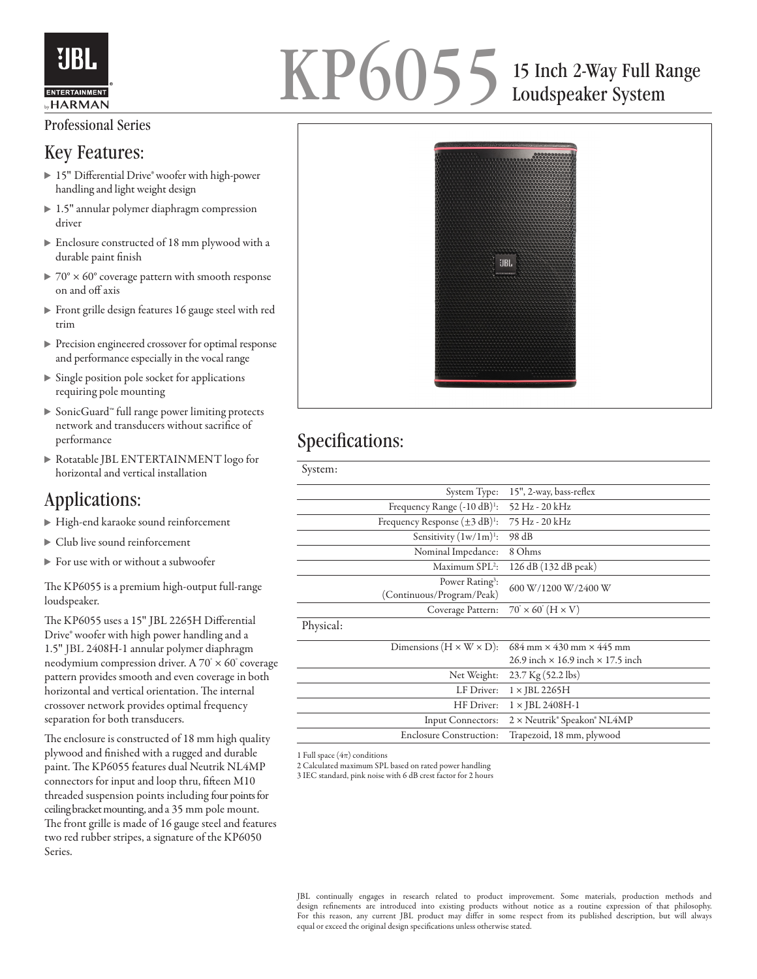

# KP6055 15 Inch 2-Way Full Range Loudspeaker System

#### Professional Series

#### Key Features:

- ▶ 15" Differential Drive® woofer with high-power handling and light weight design
- ▶ 1.5" annular polymer diaphragm compression driver
- Enclosure constructed of 18 mm plywood with a durable paint finish
- $\triangleright$  70°  $\times$  60° coverage pattern with smooth response on and off axis
- Front grille design features 16 gauge steel with red trim
- Precision engineered crossover for optimal response and performance especially in the vocal range
- $\triangleright$  Single position pole socket for applications requiring pole mounting
- SonicGuard™ full range power limiting protects network and transducers without sacrifice of performance
- Rotatable JBL ENTERTAINMENT logo for horizontal and vertical installation

### Applications:

- High-end karaoke sound reinforcement
- Club live sound reinforcement
- For use with or without a subwoofer

The KP6055 is a premium high-output full-range loudspeaker.

The KP6055 uses a 15" JBL 2265H Differential Drive® woofer with high power handling and a 1.5″ JBL 2408H-1 annular polymer diaphragm neodymium compression driver. A  $70^{\circ} \times 60^{\circ}$  coverage pattern provides smooth and even coverage in both horizontal and vertical orientation. The internal crossover network provides optimal frequency separation for both transducers.

The enclosure is constructed of 18 mm high quality plywood and finished with a rugged and durable paint. The KP6055 features dual Neutrik NL4MP connectors for input and loop thru, fifteen M10 threaded suspension points including four points for ceiling bracket mounting, and a 35 mm pole mount. The front grille is made of 16 gauge steel and features two red rubber stripes, a signature of the KP6050 Series.



## Specifications:

| 15", 2-way, bass-reflex                                      |
|--------------------------------------------------------------|
| 52 Hz - 20 kHz                                               |
| 75 Hz - 20 kHz                                               |
| 98 dB                                                        |
| 8 Ohms                                                       |
| 126 dB (132 dB peak)                                         |
| 600 W/1200 W/2400 W                                          |
| $70^\circ \times 60^\circ$ (H $\times$ V)                    |
|                                                              |
| $684 \text{ mm} \times 430 \text{ mm} \times 445 \text{ mm}$ |
| 26.9 inch $\times$ 16.9 inch $\times$ 17.5 inch              |
| $23.7$ Kg $(52.2$ lbs)                                       |
| $1 \times$ JBL 2265H                                         |
| $1 \times$ JBL 2408H-1                                       |
| 2 × Neutrik® Speakon® NL4MP                                  |
| Trapezoid, 18 mm, plywood                                    |
|                                                              |

1 Full space  $(4\pi)$  conditions

2 Calculated maximum SPL based on rated power handling

3 IEC standard, pink noise with 6 dB crest factor for 2 hours

JBL continually engages in research related to product improvement. Some materials, production methods and design refinements are introduced into existing products without notice as a routine expression of that philosophy. For this reason, any current JBL product may differ in some respect from its published description, but will always equal or exceed the original design specifications unless otherwise stated.